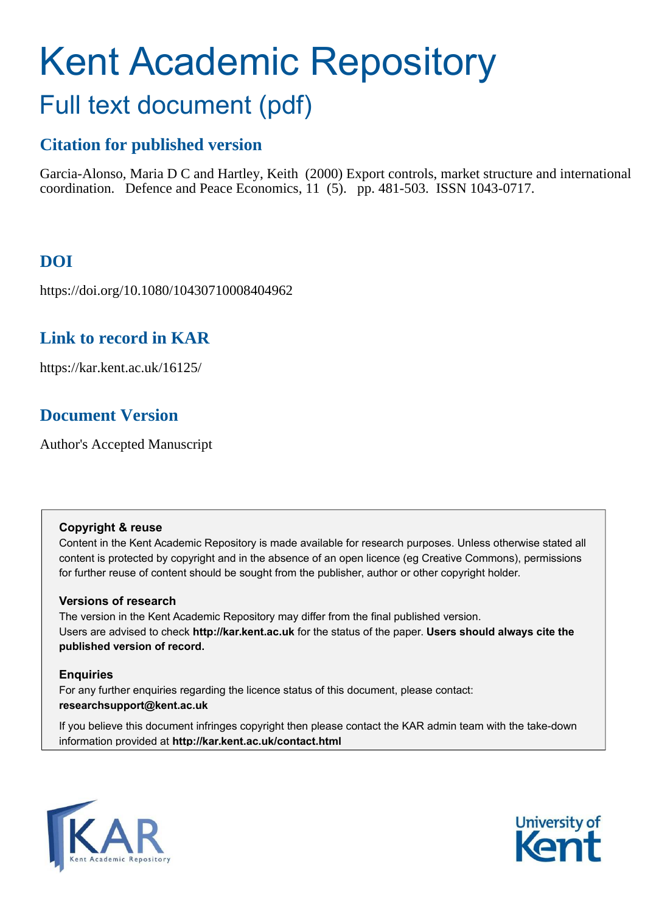# Kent Academic Repository Full text document (pdf)

## **Citation for published version**

Garcia-Alonso, Maria D C and Hartley, Keith (2000) Export controls, market structure and international coordination. Defence and Peace Economics, 11 (5). pp. 481-503. ISSN 1043-0717.

## **DOI**

https://doi.org/10.1080/10430710008404962

### **Link to record in KAR**

https://kar.kent.ac.uk/16125/

## **Document Version**

Author's Accepted Manuscript

#### **Copyright & reuse**

Content in the Kent Academic Repository is made available for research purposes. Unless otherwise stated all content is protected by copyright and in the absence of an open licence (eg Creative Commons), permissions for further reuse of content should be sought from the publisher, author or other copyright holder.

#### **Versions of research**

The version in the Kent Academic Repository may differ from the final published version. Users are advised to check **http://kar.kent.ac.uk** for the status of the paper. **Users should always cite the published version of record.**

#### **Enquiries**

For any further enquiries regarding the licence status of this document, please contact: **researchsupport@kent.ac.uk**

If you believe this document infringes copyright then please contact the KAR admin team with the take-down information provided at **http://kar.kent.ac.uk/contact.html**



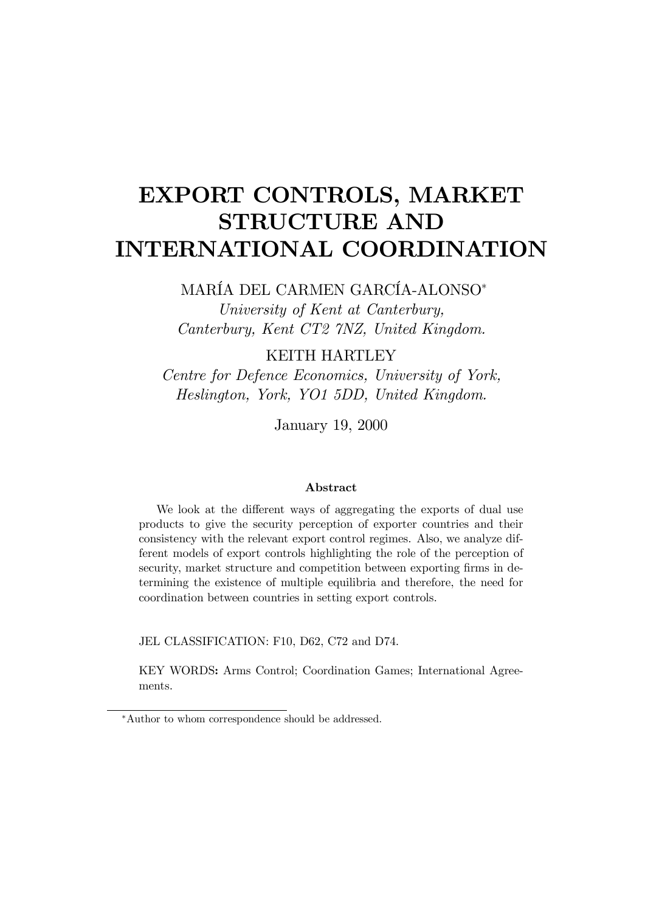## EXPORT CONTROLS, MARKET STRUCTURE AND INTERNATIONAL COORDINATION

MARÍA DEL CARMEN GARCÍA-ALONSO\*

University of Kent at Canterbury, Canterbury, Kent CT2 7NZ, United Kingdom.

#### KEITH HARTLEY

Centre for Defence Economics, University of York, Heslington, York, YO1 5DD, United Kingdom.

January 19, 2000

#### Abstract

We look at the different ways of aggregating the exports of dual use products to give the security perception of exporter countries and their consistency with the relevant export control regimes. Also, we analyze different models of export controls highlighting the role of the perception of security, market structure and competition between exporting firms in determining the existence of multiple equilibria and therefore, the need for coordination between countries in setting export controls.

JEL CLASSIFICATION: F10, D62, C72 and D74.

KEY WORDS: Arms Control; Coordination Games; International Agreements.

<sup>¤</sup>Author to whom correspondence should be addressed.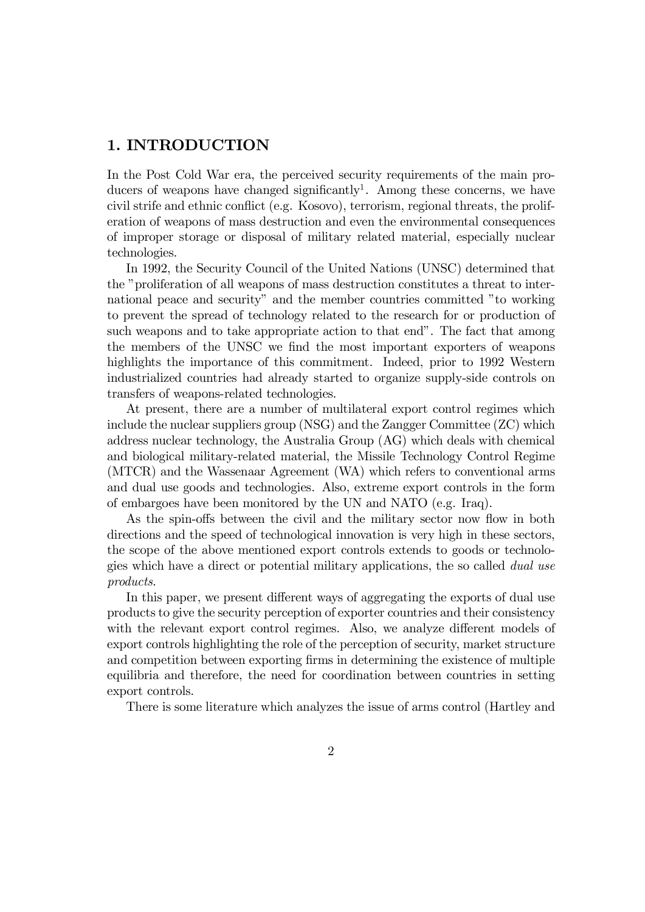#### 1. INTRODUCTION

In the Post Cold War era, the perceived security requirements of the main producers of weapons have changed significantly<sup>1</sup>. Among these concerns, we have civil strife and ethnic conflict (e.g. Kosovo), terrorism, regional threats, the proliferation of weapons of mass destruction and even the environmental consequences of improper storage or disposal of military related material, especially nuclear technologies.

In 1992, the Security Council of the United Nations (UNSC) determined that the "proliferation of all weapons of mass destruction constitutes a threat to international peace and security" and the member countries committed "to working to prevent the spread of technology related to the research for or production of such weapons and to take appropriate action to that end". The fact that among the members of the UNSC we find the most important exporters of weapons highlights the importance of this commitment. Indeed, prior to 1992 Western industrialized countries had already started to organize supply-side controls on transfers of weapons-related technologies.

At present, there are a number of multilateral export control regimes which include the nuclear suppliers group (NSG) and the Zangger Committee (ZC) which address nuclear technology, the Australia Group (AG) which deals with chemical and biological military-related material, the Missile Technology Control Regime (MTCR) and the Wassenaar Agreement (WA) which refers to conventional arms and dual use goods and technologies. Also, extreme export controls in the form of embargoes have been monitored by the UN and NATO (e.g. Iraq).

As the spin-offs between the civil and the military sector now flow in both directions and the speed of technological innovation is very high in these sectors, the scope of the above mentioned export controls extends to goods or technologies which have a direct or potential military applications, the so called dual use products.

In this paper, we present different ways of aggregating the exports of dual use products to give the security perception of exporter countries and their consistency with the relevant export control regimes. Also, we analyze different models of export controls highlighting the role of the perception of security, market structure and competition between exporting firms in determining the existence of multiple equilibria and therefore, the need for coordination between countries in setting export controls.

There is some literature which analyzes the issue of arms control (Hartley and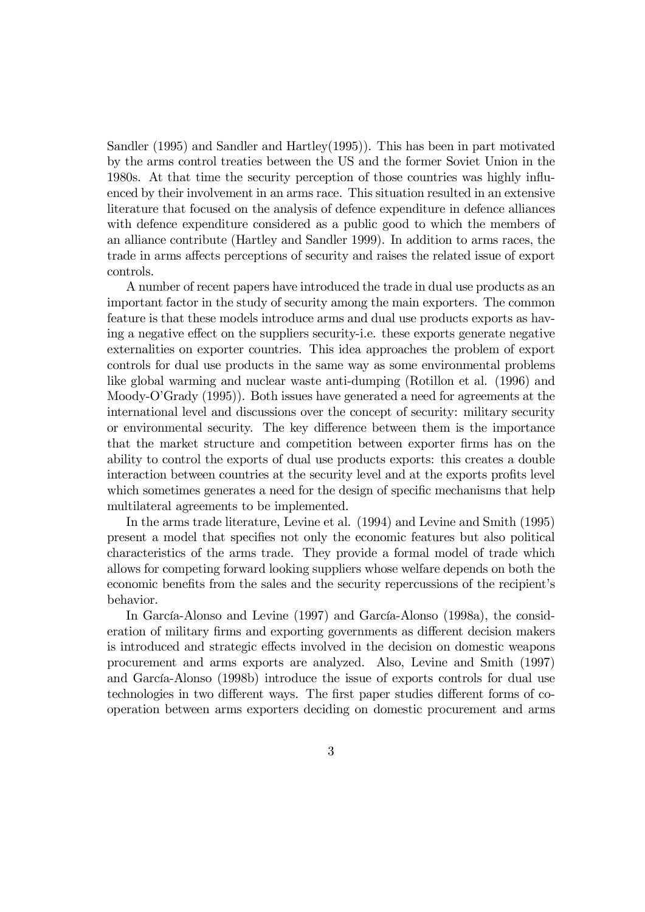Sandler (1995) and Sandler and Hartley(1995)). This has been in part motivated by the arms control treaties between the US and the former Soviet Union in the 1980s. At that time the security perception of those countries was highly in‡uenced by their involvement in an arms race. This situation resulted in an extensive literature that focused on the analysis of defence expenditure in defence alliances with defence expenditure considered as a public good to which the members of an alliance contribute (Hartley and Sandler 1999). In addition to arms races, the trade in arms affects perceptions of security and raises the related issue of export controls.

A number of recent papers have introduced the trade in dual use products as an important factor in the study of security among the main exporters. The common feature is that these models introduce arms and dual use products exports as having a negative effect on the suppliers security-i.e. these exports generate negative externalities on exporter countries. This idea approaches the problem of export controls for dual use products in the same way as some environmental problems like global warming and nuclear waste anti-dumping (Rotillon et al. (1996) and Moody-O'Grady (1995)). Both issues have generated a need for agreements at the international level and discussions over the concept of security: military security or environmental security. The key difference between them is the importance that the market structure and competition between exporter firms has on the ability to control the exports of dual use products exports: this creates a double interaction between countries at the security level and at the exports profits level which sometimes generates a need for the design of specific mechanisms that help multilateral agreements to be implemented.

In the arms trade literature, Levine et al. (1994) and Levine and Smith (1995) present a model that specifies not only the economic features but also political characteristics of the arms trade. They provide a formal model of trade which allows for competing forward looking suppliers whose welfare depends on both the economic benefits from the sales and the security repercussions of the recipient's behavior.

In García-Alonso and Levine (1997) and García-Alonso (1998a), the consideration of military firms and exporting governments as different decision makers is introduced and strategic effects involved in the decision on domestic weapons procurement and arms exports are analyzed. Also, Levine and Smith (1997) and García-Alonso (1998b) introduce the issue of exports controls for dual use technologies in two different ways. The first paper studies different forms of cooperation between arms exporters deciding on domestic procurement and arms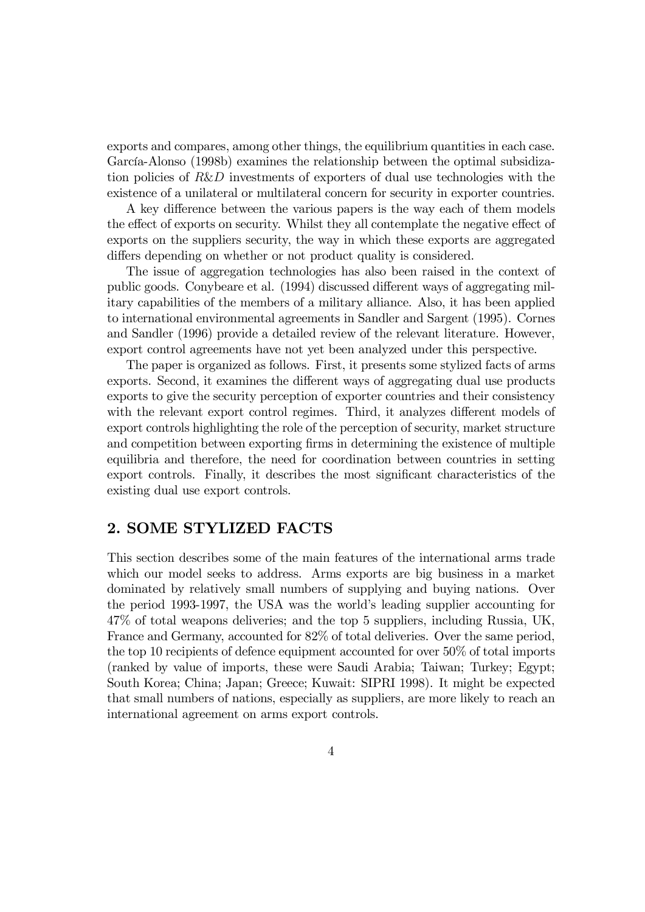exports and compares, among other things, the equilibrium quantities in each case. García-Alonso (1998b) examines the relationship between the optimal subsidization policies of  $R\&D$  investments of exporters of dual use technologies with the existence of a unilateral or multilateral concern for security in exporter countries.

A key difference between the various papers is the way each of them models the effect of exports on security. Whilst they all contemplate the negative effect of exports on the suppliers security, the way in which these exports are aggregated differs depending on whether or not product quality is considered.

The issue of aggregation technologies has also been raised in the context of public goods. Conybeare et al. (1994) discussed different ways of aggregating military capabilities of the members of a military alliance. Also, it has been applied to international environmental agreements in Sandler and Sargent (1995). Cornes and Sandler (1996) provide a detailed review of the relevant literature. However, export control agreements have not yet been analyzed under this perspective.

The paper is organized as follows. First, it presents some stylized facts of arms exports. Second, it examines the different ways of aggregating dual use products exports to give the security perception of exporter countries and their consistency with the relevant export control regimes. Third, it analyzes different models of export controls highlighting the role of the perception of security, market structure and competition between exporting firms in determining the existence of multiple equilibria and therefore, the need for coordination between countries in setting export controls. Finally, it describes the most significant characteristics of the existing dual use export controls.

#### 2. SOME STYLIZED FACTS

This section describes some of the main features of the international arms trade which our model seeks to address. Arms exports are big business in a market dominated by relatively small numbers of supplying and buying nations. Over the period 1993-1997, the USA was the world's leading supplier accounting for 47% of total weapons deliveries; and the top 5 suppliers, including Russia, UK, France and Germany, accounted for 82% of total deliveries. Over the same period, the top 10 recipients of defence equipment accounted for over 50% of total imports (ranked by value of imports, these were Saudi Arabia; Taiwan; Turkey; Egypt; South Korea; China; Japan; Greece; Kuwait: SIPRI 1998). It might be expected that small numbers of nations, especially as suppliers, are more likely to reach an international agreement on arms export controls.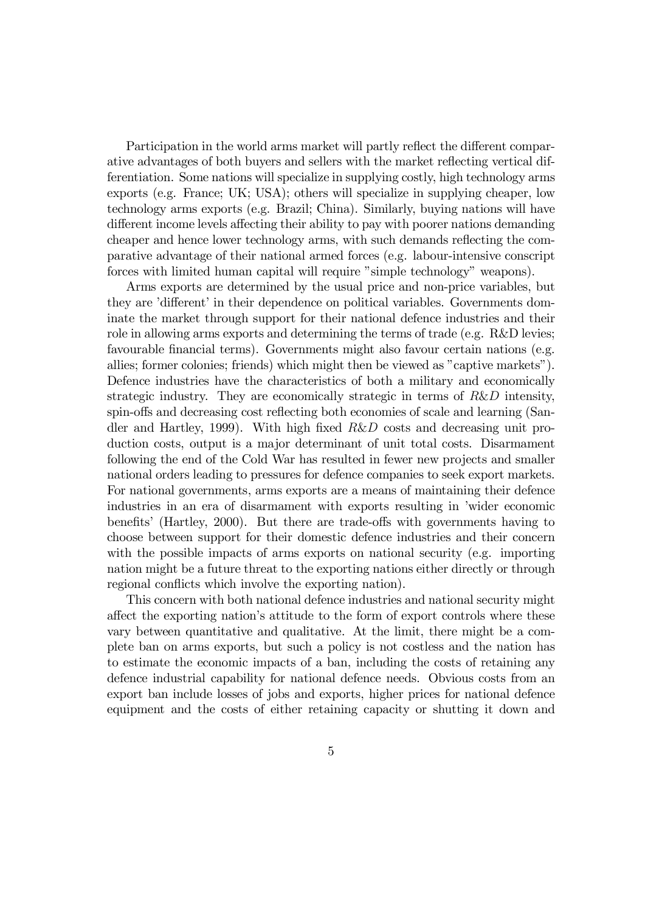Participation in the world arms market will partly reflect the different comparative advantages of both buyers and sellers with the market re‡ecting vertical differentiation. Some nations will specialize in supplying costly, high technology arms exports (e.g. France; UK; USA); others will specialize in supplying cheaper, low technology arms exports (e.g. Brazil; China). Similarly, buying nations will have different income levels affecting their ability to pay with poorer nations demanding cheaper and hence lower technology arms, with such demands reflecting the comparative advantage of their national armed forces (e.g. labour-intensive conscript forces with limited human capital will require "simple technology" weapons).

Arms exports are determined by the usual price and non-price variables, but they are 'different' in their dependence on political variables. Governments dominate the market through support for their national defence industries and their role in allowing arms exports and determining the terms of trade (e.g. R&D levies; favourable financial terms). Governments might also favour certain nations (e.g. allies; former colonies; friends) which might then be viewed as "captive markets"). Defence industries have the characteristics of both a military and economically strategic industry. They are economically strategic in terms of  $R\&D$  intensity, spin-offs and decreasing cost reflecting both economies of scale and learning (Sandler and Hartley, 1999). With high fixed  $R\&D$  costs and decreasing unit production costs, output is a major determinant of unit total costs. Disarmament following the end of the Cold War has resulted in fewer new projects and smaller national orders leading to pressures for defence companies to seek export markets. For national governments, arms exports are a means of maintaining their defence industries in an era of disarmament with exports resulting in 'wider economic benefits' (Hartley, 2000). But there are trade-offs with governments having to choose between support for their domestic defence industries and their concern with the possible impacts of arms exports on national security (e.g. importing nation might be a future threat to the exporting nations either directly or through regional conflicts which involve the exporting nation).

This concern with both national defence industries and national security might affect the exporting nation's attitude to the form of export controls where these vary between quantitative and qualitative. At the limit, there might be a complete ban on arms exports, but such a policy is not costless and the nation has to estimate the economic impacts of a ban, including the costs of retaining any defence industrial capability for national defence needs. Obvious costs from an export ban include losses of jobs and exports, higher prices for national defence equipment and the costs of either retaining capacity or shutting it down and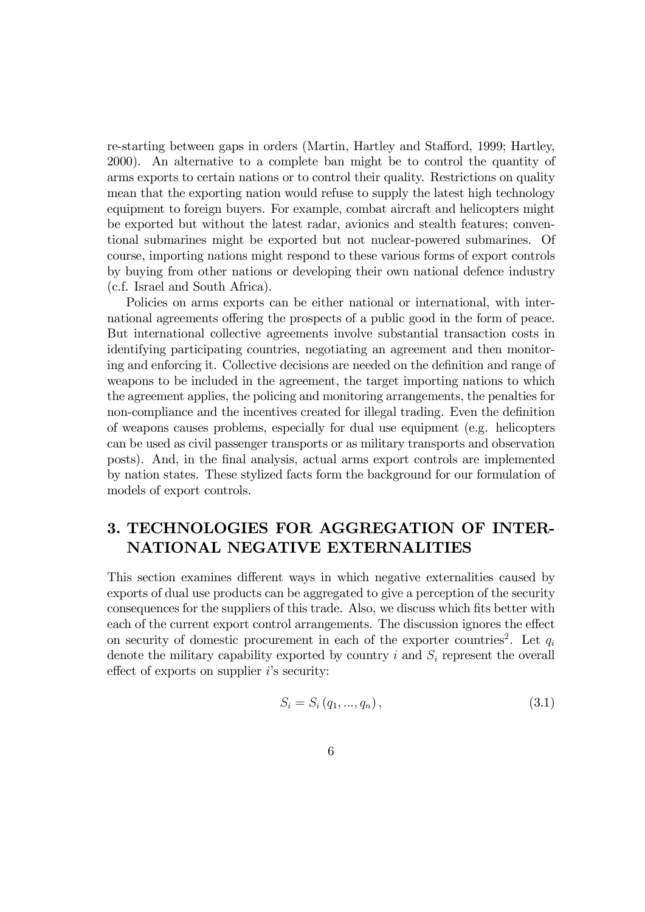re-starting between gaps in orders (Martin, Hartley and Stafford, 1999; Hartley, 2000). An alternative to a complete ban might be to control the quantity of arms exports to certain nations or to control their quality. Restrictions on quality mean that the exporting nation would refuse to supply the latest high technology equipment to foreign buyers. For example, combat aircraft and helicopters might be exported but without the latest radar, avionics and stealth features; conventional submarines might be exported but not nuclear-powered submarines. Of course, importing nations might respond to these various forms of export controls by buying from other nations or developing their own national defence industry (c.f. Israel and South Africa).

Policies on arms exports can be either national or international, with international agreements of fering the prospects of a public good in the form of peace. But international collective agreements involve substantial transaction costs in identifying participating countries, negotiating an agreement and then monitoring and enforcing it. Collective decisions are needed on the definition and range of weapons to be included in the agreement, the target importing nations to which the agreement applies, the policing and monitoring arrangements, the penalties for non-compliance and the incentives created for illegal trading. Even the definition of weapons causes problems, especially for dual use equipment (e.g. helicopters can be used as civil passenger transports or as military transports and observation posts). And, in the final analysis, actual arms export controls are implemented by nation states. These stylized facts form the background for our formulation of models of export controls.

#### 3. TECHNOLOGIES FOR AGGREGATION OF INTER-NATIONAL NEGATIVE EXTERNALITIES

This section examines different ways in which negative externalities caused by exports of dual use products can be aggregated to give a perception of the security consequences for the suppliers of this trade. Also, we discuss which fits better with each of the current export control arrangements. The discussion ignores the effect on security of domestic procurement in each of the exporter countries<sup>2</sup>. Let  $q_i$ denote the military capability exported by country  $i$  and  $S_i$  represent the overall effect of exports on supplier  $i$ 's security:

$$
S_i = S_i (q_1, ..., q_n), \t\t(3.1)
$$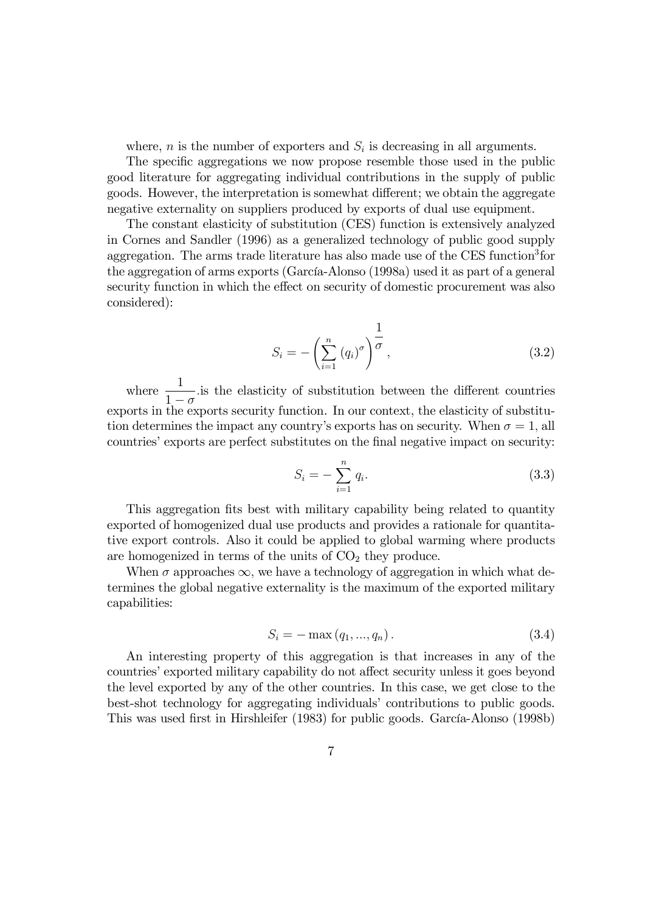where,  $n$  is the number of exporters and  $S_i$  is decreasing in all arguments.

The specific aggregations we now propose resemble those used in the public good literature for aggregating individual contributions in the supply of public goods. However, the interpretation is somewhat different; we obtain the aggregate negative externality on suppliers produced by exports of dual use equipment.

The constant elasticity of substitution (CES) function is extensively analyzed in Cornes and Sandler (1996) as a generalized technology of public good supply aggregation. The arms trade literature has also made use of the CES function<sup>3</sup> for the aggregation of arms exports (García-Alonso (1998a) used it as part of a general security function in which the effect on security of domestic procurement was also considered):

$$
S_i = -\left(\sum_{i=1}^n (q_i)^{\sigma}\right)^{\frac{1}{\sigma}}, \qquad (3.2)
$$

where  $\frac{1}{1}$  $1 - \sigma$ <br>the  $\alpha$ is the elasticity of substitution between the different countries exports in the exports security function. In our context, the elasticity of substitution determines the impact any country's exports has on security. When  $\sigma = 1$ , all countries' exports are perfect substitutes on the final negative impact on security:

$$
S_i = -\sum_{i=1}^{n} q_i.
$$
 (3.3)

This aggregation fits best with military capability being related to quantity exported of homogenized dual use products and provides a rationale for quantitative export controls. Also it could be applied to global warming where products are homogenized in terms of the units of  $CO<sub>2</sub>$  they produce.

When  $\sigma$  approaches  $\infty$ , we have a technology of aggregation in which what determines the global negative externality is the maximum of the exported military capabilities:

$$
S_i = -\max(q_1, ..., q_n). \tag{3.4}
$$

An interesting property of this aggregation is that increases in any of the countries' exported military capability do not affect security unless it goes beyond the level exported by any of the other countries. In this case, we get close to the best-shot technology for aggregating individuals' contributions to public goods. This was used first in Hirshleifer (1983) for public goods. García-Alonso (1998b)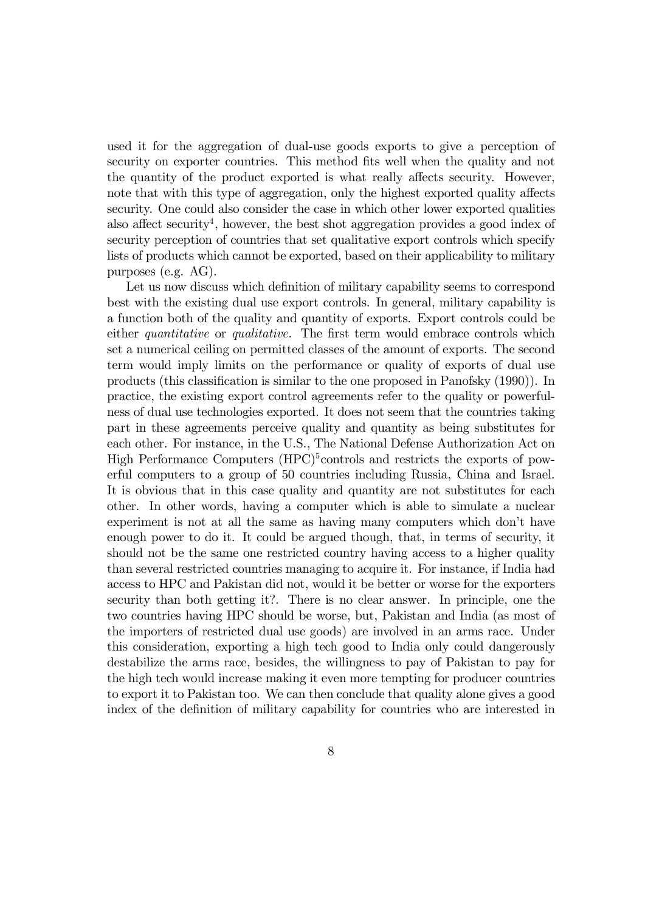used it for the aggregation of dual-use goods exports to give a perception of security on exporter countries. This method fits well when the quality and not the quantity of the product exported is what really affects security. However, note that with this type of aggregation, only the highest exported quality affects security. One could also consider the case in which other lower exported qualities also affect security<sup>4</sup>, however, the best shot aggregation provides a good index of security perception of countries that set qualitative export controls which specify lists of products which cannot be exported, based on their applicability to military purposes (e.g. AG).

Let us now discuss which definition of military capability seems to correspond best with the existing dual use export controls. In general, military capability is a function both of the quality and quantity of exports. Export controls could be either *quantitative* or *qualitative*. The first term would embrace controls which set a numerical ceiling on permitted classes of the amount of exports. The second term would imply limits on the performance or quality of exports of dual use products (this classification is similar to the one proposed in Panofsky  $(1990)$ ). In practice, the existing export control agreements refer to the quality or powerfulness of dual use technologies exported. It does not seem that the countries taking part in these agreements perceive quality and quantity as being substitutes for each other. For instance, in the U.S., The National Defense Authorization Act on High Performance Computers (HPC)<sup>5</sup> controls and restricts the exports of powerful computers to a group of 50 countries including Russia, China and Israel. It is obvious that in this case quality and quantity are not substitutes for each other. In other words, having a computer which is able to simulate a nuclear experiment is not at all the same as having many computers which don't have enough power to do it. It could be argued though, that, in terms of security, it should not be the same one restricted country having access to a higher quality than several restricted countries managing to acquire it. For instance, if India had access to HPC and Pakistan did not, would it be better or worse for the exporters security than both getting it?. There is no clear answer. In principle, one the two countries having HPC should be worse, but, Pakistan and India (as most of the importers of restricted dual use goods) are involved in an arms race. Under this consideration, exporting a high tech good to India only could dangerously destabilize the arms race, besides, the willingness to pay of Pakistan to pay for the high tech would increase making it even more tempting for producer countries to export it to Pakistan too. We can then conclude that quality alone gives a good index of the definition of military capability for countries who are interested in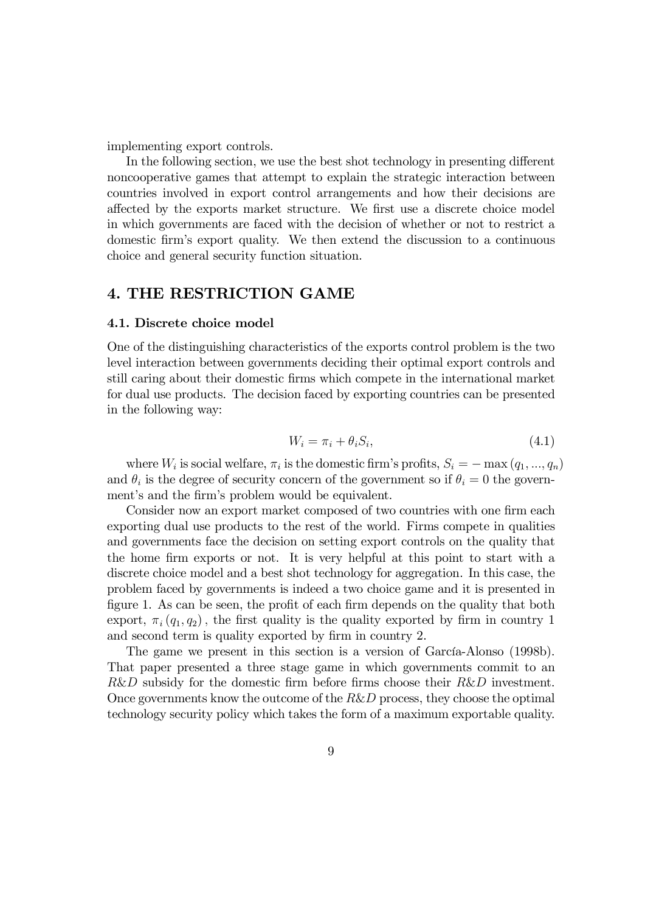implementing export controls.

In the following section, we use the best shot technology in presenting different noncooperative games that attempt to explain the strategic interaction between countries involved in export control arrangements and how their decisions are affected by the exports market structure. We first use a discrete choice model in which governments are faced with the decision of whether or not to restrict a domestic firm's export quality. We then extend the discussion to a continuous choice and general security function situation.

#### 4. THE RESTRICTION GAME

#### 4.1. Discrete choice model

One of the distinguishing characteristics of the exports control problem is the two level interaction between governments deciding their optimal export controls and still caring about their domestic firms which compete in the international market for dual use products. The decision faced by exporting countries can be presented in the following way:

$$
W_i = \pi_i + \theta_i S_i, \tag{4.1}
$$

where  $W_i$  is social welfare,  $\pi_i$  is the domestic firm's profits,  $S_i = -\max(q_1, ..., q_n)$ and  $\theta_i$  is the degree of security concern of the government so if  $\theta_i = 0$  the government's and the firm's problem would be equivalent.

Consider now an export market composed of two countries with one firm each exporting dual use products to the rest of the world. Firms compete in qualities and governments face the decision on setting export controls on the quality that the home firm exports or not. It is very helpful at this point to start with a discrete choice model and a best shot technology for aggregation. In this case, the problem faced by governments is indeed a two choice game and it is presented in figure 1. As can be seen, the profit of each firm depends on the quality that both export,  $\pi_i(q_1, q_2)$ , the first quality is the quality exported by firm in country 1 and second term is quality exported by firm in country 2.

The game we present in this section is a version of García-Alonso (1998b). That paper presented a three stage game in which governments commit to an  $R\&D$  subsidy for the domestic firm before firms choose their  $R\&D$  investment. Once governments know the outcome of the  $R\&D$  process, they choose the optimal technology security policy which takes the form of a maximum exportable quality.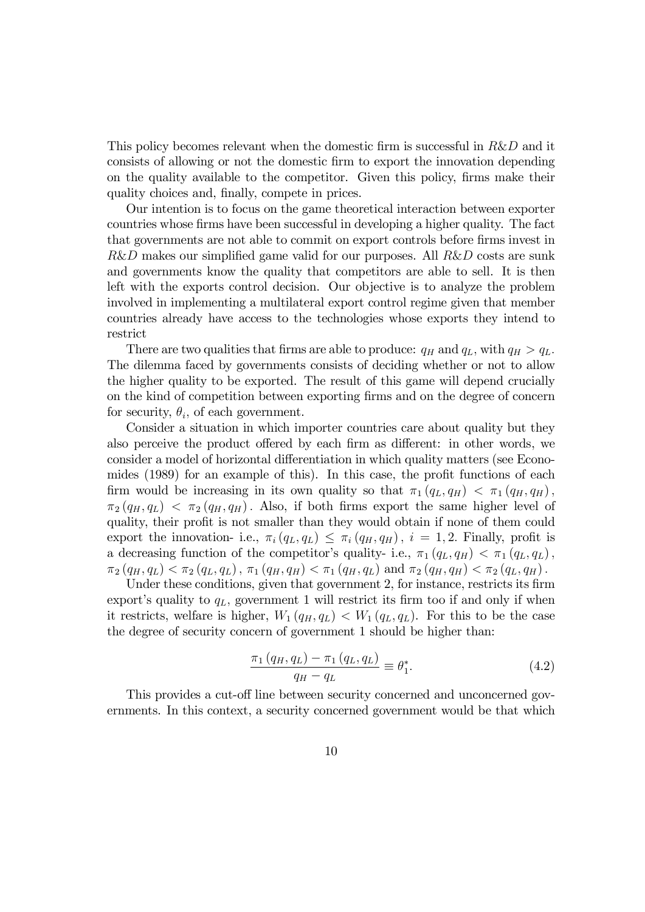This policy becomes relevant when the domestic firm is successful in  $R\&D$  and it consists of allowing or not the domestic firm to export the innovation depending on the quality available to the competitor. Given this policy, firms make their quality choices and, finally, compete in prices.

Our intention is to focus on the game theoretical interaction between exporter countries whose firms have been successful in developing a higher quality. The fact that governments are not able to commit on export controls before firms invest in  $R\&D$  makes our simplified game valid for our purposes. All  $R\&D$  costs are sunk and governments know the quality that competitors are able to sell. It is then left with the exports control decision. Our objective is to analyze the problem involved in implementing a multilateral export control regime given that member countries already have access to the technologies whose exports they intend to restrict

There are two qualities that firms are able to produce:  $q_H$  and  $q_L$ , with  $q_H > q_L$ . The dilemma faced by governments consists of deciding whether or not to allow the higher quality to be exported. The result of this game will depend crucially on the kind of competition between exporting firms and on the degree of concern for security,  $\theta_i$ , of each government.

Consider a situation in which importer countries care about quality but they also perceive the product offered by each firm as different: in other words, we consider a model of horizontal differentiation in which quality matters (see Economides (1989) for an example of this). In this case, the profit functions of each firm would be increasing in its own quality so that  $\pi_1 ( q_L, q_H) < \pi_1 ( q_H, q_H)$ ,  $\pi_2(q_H, q_L)$  <  $\pi_2(q_H, q_H)$ . Also, if both firms export the same higher level of quality, their profit is not smaller than they would obtain if none of them could export the innovation- i.e.,  $\pi_i(q_L, q_L) \leq \pi_i(q_H, q_H)$ ,  $i = 1, 2$ . Finally, profit is a decreasing function of the competitor's quality- i.e.,  $\pi_1 (q_L, q_H) < \pi_1 (q_L, q_L)$ ,  $\pi_2(q_H, q_L) < \pi_2(q_L, q_L)$ ,  $\pi_1(q_H, q_H) < \pi_1(q_H, q_L)$  and  $\pi_2(q_H, q_H) < \pi_2(q_L, q_H)$ .

Under these conditions, given that government  $2$ , for instance, restricts its firm export's quality to  $q_L$ , government 1 will restrict its firm too if and only if when it restricts, welfare is higher,  $W_1(q_H, q_L) < W_1(q_L, q_L)$ . For this to be the case the degree of security concern of government 1 should be higher than:

$$
\frac{\pi_1(q_H, q_L) - \pi_1(q_L, q_L)}{q_H - q_L} \equiv \theta_1^*.
$$
\n(4.2)

This provides a cut-off line between security concerned and unconcerned governments. In this context, a security concerned government would be that which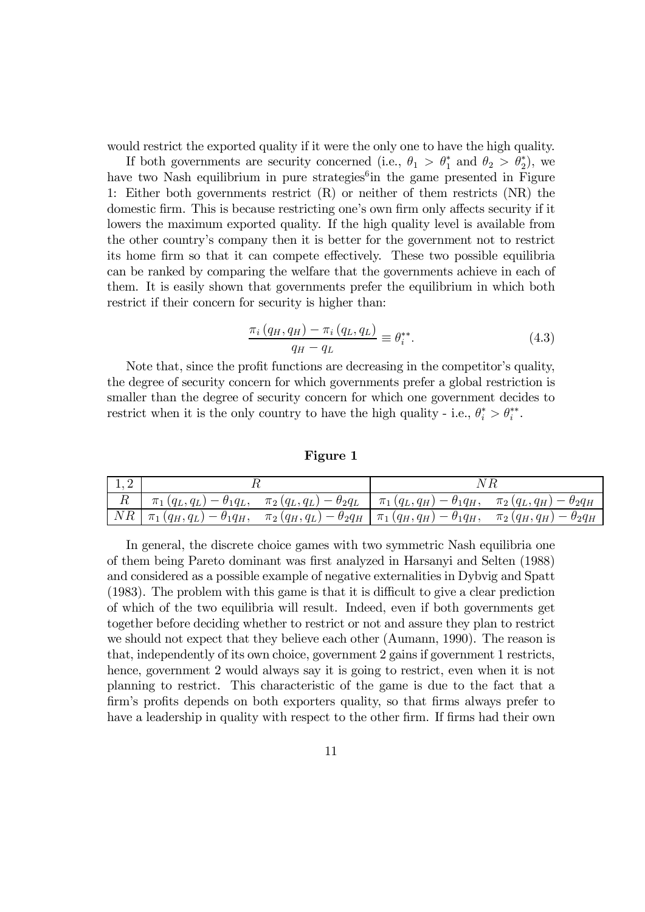would restrict the exported quality if it were the only one to have the high quality.

If both governments are security concerned (i.e.,  $\theta_1 > \theta_1^*$  and  $\theta_2 > \theta_2^*$ ), we have two Nash equilibrium in pure strategies<sup>6</sup> in the game presented in Figure 1: Either both governments restrict (R) or neither of them restricts (NR) the domestic firm. This is because restricting one's own firm only affects security if it lowers the maximum exported quality. If the high quality level is available from the other country's company then it is better for the government not to restrict its home firm so that it can compete effectively. These two possible equilibria can be ranked by comparing the welfare that the governments achieve in each of them. It is easily shown that governments prefer the equilibrium in which both restrict if their concern for security is higher than:

$$
\frac{\pi_i\left(q_H, q_H\right) - \pi_i\left(q_L, q_L\right)}{q_H - q_L} \equiv \theta_i^{**}.\tag{4.3}
$$

Note that, since the profit functions are decreasing in the competitor's quality, the degree of security concern for which governments prefer a global restriction is smaller than the degree of security concern for which one government decides to restrict when it is the only country to have the high quality - i.e.,  $\theta_i^* > \theta_i^{**}$ .

#### Figure 1

|  |  | NR                                                                                                                                                                                                                                         |  |
|--|--|--------------------------------------------------------------------------------------------------------------------------------------------------------------------------------------------------------------------------------------------|--|
|  |  | $\pi_1\left[\begin{array}{c c c c} \ \hline R & \pi_1\left(q_L,q_L\right)-\theta_1q_L, & \pi_2\left(q_L,q_L\right)-\theta_2q_L & \pi_1\left(q_L,q_H\right)-\theta_1q_H, & \pi_2\left(q_L,q_H\right)-\theta_2q_H\right] \end{array}\right]$ |  |
|  |  | $\left  NR \mid \pi_1(q_H, q_L) - \theta_1 q_H, \pi_2(q_H, q_L) - \theta_2 q_H \mid \pi_1(q_H, q_H) - \theta_1 q_H, \pi_2(q_H, q_H) - \theta_2 q_H \right $                                                                                |  |

In general, the discrete choice games with two symmetric Nash equilibria one of them being Pareto dominant was first analyzed in Harsanyi and Selten (1988) and considered as a possible example of negative externalities in Dybvig and Spatt  $(1983)$ . The problem with this game is that it is difficult to give a clear prediction of which of the two equilibria will result. Indeed, even if both governments get together before deciding whether to restrict or not and assure they plan to restrict we should not expect that they believe each other (Aumann, 1990). The reason is that, independently of its own choice, government 2 gains if government 1 restricts, hence, government 2 would always say it is going to restrict, even when it is not planning to restrict. This characteristic of the game is due to the fact that a firm's profits depends on both exporters quality, so that firms always prefer to have a leadership in quality with respect to the other firm. If firms had their own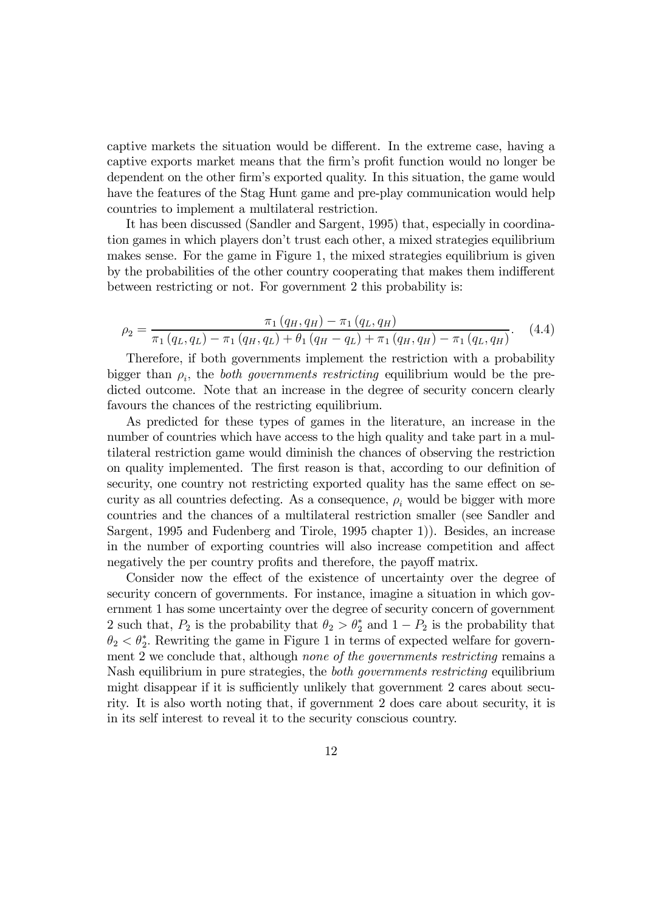captive markets the situation would be different. In the extreme case, having a captive exports market means that the firm's profit function would no longer be dependent on the other firm's exported quality. In this situation, the game would have the features of the Stag Hunt game and pre-play communication would help countries to implement a multilateral restriction.

It has been discussed (Sandler and Sargent, 1995) that, especially in coordination games in which players don't trust each other, a mixed strategies equilibrium makes sense. For the game in Figure 1, the mixed strategies equilibrium is given by the probabilities of the other country cooperating that makes them indifferent between restricting or not. For government 2 this probability is:

$$
\rho_2 = \frac{\pi_1 (q_H, q_H) - \pi_1 (q_L, q_H)}{\pi_1 (q_L, q_L) - \pi_1 (q_H, q_L) + \theta_1 (q_H - q_L) + \pi_1 (q_H, q_H) - \pi_1 (q_L, q_H)}.
$$
(4.4)

Therefore, if both governments implement the restriction with a probability bigger than  $\rho_i$ , the *both governments restricting* equilibrium would be the predicted outcome. Note that an increase in the degree of security concern clearly favours the chances of the restricting equilibrium.

As predicted for these types of games in the literature, an increase in the number of countries which have access to the high quality and take part in a multilateral restriction game would diminish the chances of observing the restriction on quality implemented. The first reason is that, according to our definition of security, one country not restricting exported quality has the same effect on security as all countries defecting. As a consequence,  $\rho_i$  would be bigger with more countries and the chances of a multilateral restriction smaller (see Sandler and Sargent, 1995 and Fudenberg and Tirole, 1995 chapter 1)). Besides, an increase in the number of exporting countries will also increase competition and affect negatively the per country profits and therefore, the payoff matrix.

Consider now the effect of the existence of uncertainty over the degree of security concern of governments. For instance, imagine a situation in which government 1 has some uncertainty over the degree of security concern of government 2 such that,  $P_2$  is the probability that  $\theta_2 > \theta_2^*$  and  $1 - P_2$  is the probability that  $\theta_2 < \theta_2^*$ . Rewriting the game in Figure 1 in terms of expected welfare for government 2 we conclude that, although none of the governments restricting remains a Nash equilibrium in pure strategies, the *both governments restricting* equilibrium might disappear if it is sufficiently unlikely that government 2 cares about security. It is also worth noting that, if government 2 does care about security, it is in its self interest to reveal it to the security conscious country.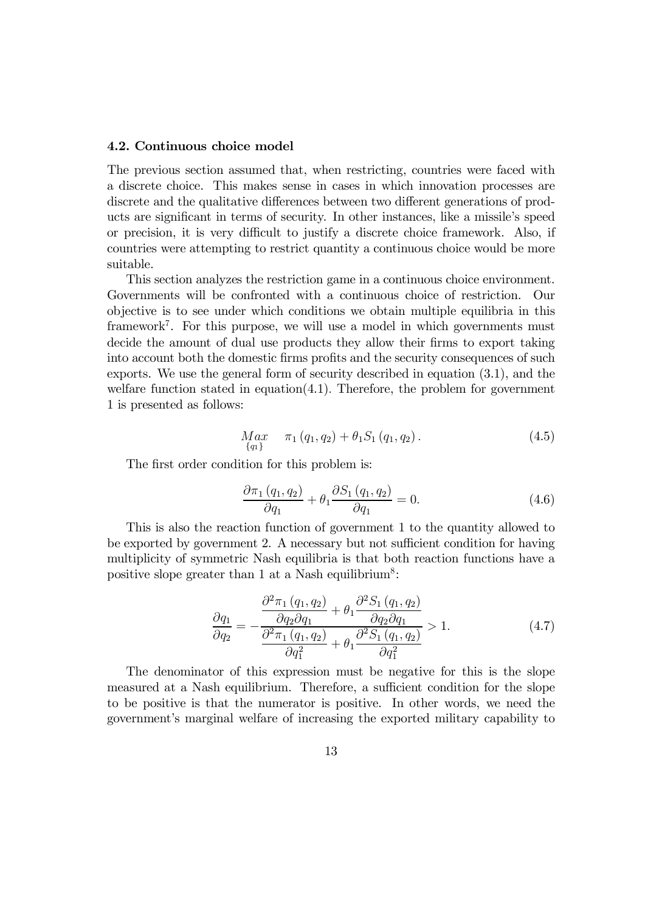#### 4.2. Continuous choice model

The previous section assumed that, when restricting, countries were faced with a discrete choice. This makes sense in cases in which innovation processes are discrete and the qualitative differences between two different generations of products are significant in terms of security. In other instances, like a missile's speed or precision, it is very difficult to justify a discrete choice framework. Also, if countries were attempting to restrict quantity a continuous choice would be more suitable.

This section analyzes the restriction game in a continuous choice environment. Governments will be confronted with a continuous choice of restriction. Our objective is to see under which conditions we obtain multiple equilibria in this framework<sup>7</sup>. For this purpose, we will use a model in which governments must decide the amount of dual use products they allow their firms to export taking into account both the domestic firms profits and the security consequences of such exports. We use the general form of security described in equation (3.1), and the welfare function stated in equation $(4.1)$ . Therefore, the problem for government 1 is presented as follows:

$$
\underset{\{q_1\}}{\text{Max}} \quad \pi_1\left(q_1, q_2\right) + \theta_1 S_1\left(q_1, q_2\right). \tag{4.5}
$$

The first order condition for this problem is:

$$
\frac{\partial \pi_1(q_1, q_2)}{\partial q_1} + \theta_1 \frac{\partial S_1(q_1, q_2)}{\partial q_1} = 0.
$$
\n(4.6)

This is also the reaction function of government 1 to the quantity allowed to be exported by government 2. A necessary but not sufficient condition for having multiplicity of symmetric Nash equilibria is that both reaction functions have a positive slope greater than 1 at a Nash equilibrium<sup>8</sup>:

$$
\frac{\partial q_1}{\partial q_2} = -\frac{\frac{\partial^2 \pi_1 (q_1, q_2)}{\partial q_2 \partial q_1} + \theta_1 \frac{\partial^2 S_1 (q_1, q_2)}{\partial q_2 \partial q_1}}{\frac{\partial^2 \pi_1 (q_1, q_2)}{\partial q_1^2} + \theta_1 \frac{\partial^2 S_1 (q_1, q_2)}{\partial q_1^2}} > 1.
$$
\n(4.7)

The denominator of this expression must be negative for this is the slope measured at a Nash equilibrium. Therefore, a sufficient condition for the slope to be positive is that the numerator is positive. In other words, we need the government's marginal welfare of increasing the exported military capability to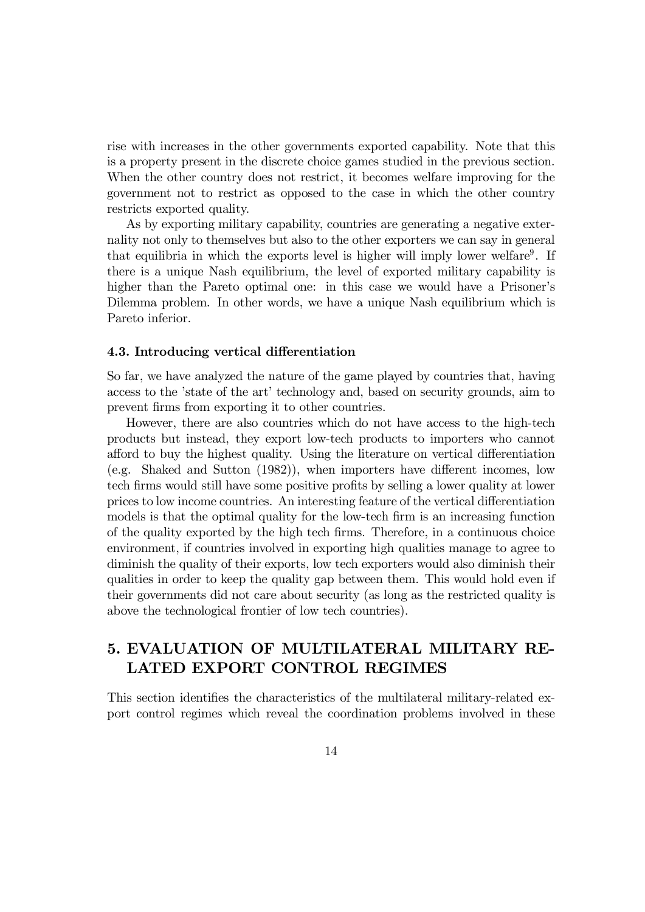rise with increases in the other governments exported capability. Note that this is a property present in the discrete choice games studied in the previous section. When the other country does not restrict, it becomes welfare improving for the government not to restrict as opposed to the case in which the other country restricts exported quality.

As by exporting military capability, countries are generating a negative externality not only to themselves but also to the other exporters we can say in general that equilibria in which the exports level is higher will imply lower welfare<sup>9</sup>. If there is a unique Nash equilibrium, the level of exported military capability is higher than the Pareto optimal one: in this case we would have a Prisoner's Dilemma problem. In other words, we have a unique Nash equilibrium which is Pareto inferior.

#### 4.3. Introducing vertical differentiation

So far, we have analyzed the nature of the game played by countries that, having access to the 'state of the art' technology and, based on security grounds, aim to prevent firms from exporting it to other countries.

However, there are also countries which do not have access to the high-tech products but instead, they export low-tech products to importers who cannot afford to buy the highest quality. Using the literature on vertical differentiation (e.g. Shaked and Sutton  $(1982)$ ), when importers have different incomes, low tech firms would still have some positive profits by selling a lower quality at lower prices to low income countries. An interesting feature of the vertical differentiation models is that the optimal quality for the low-tech firm is an increasing function of the quality exported by the high tech firms. Therefore, in a continuous choice environment, if countries involved in exporting high qualities manage to agree to diminish the quality of their exports, low tech exporters would also diminish their qualities in order to keep the quality gap between them. This would hold even if their governments did not care about security (as long as the restricted quality is above the technological frontier of low tech countries).

#### 5. EVALUATION OF MULTILATERAL MILITARY RE-LATED EXPORT CONTROL REGIMES

This section identifies the characteristics of the multilateral military-related export control regimes which reveal the coordination problems involved in these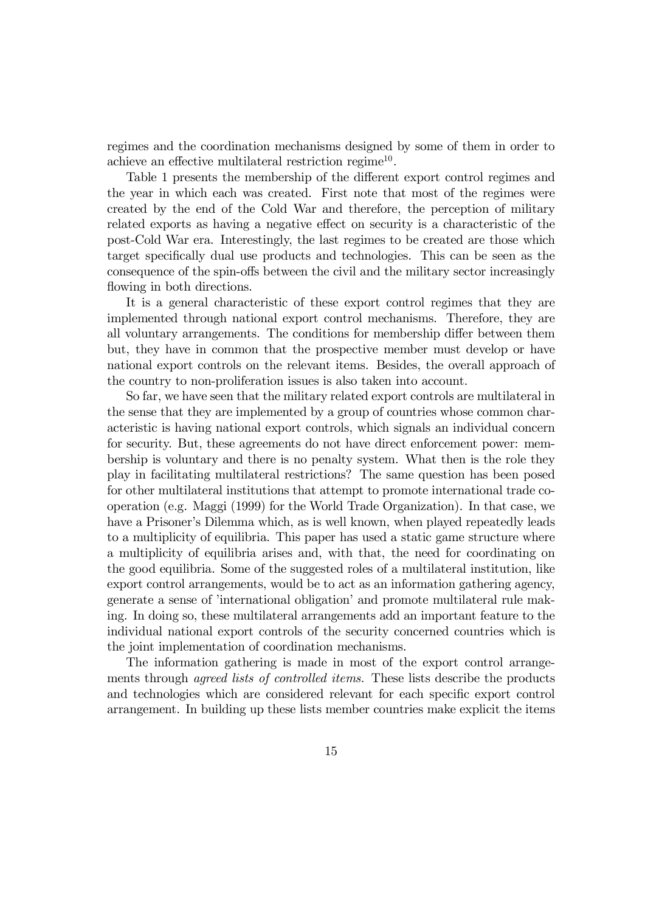regimes and the coordination mechanisms designed by some of them in order to achieve an effective multilateral restriction regime<sup>10</sup>.

Table 1 presents the membership of the different export control regimes and the year in which each was created. First note that most of the regimes were created by the end of the Cold War and therefore, the perception of military related exports as having a negative effect on security is a characteristic of the post-Cold War era. Interestingly, the last regimes to be created are those which target specifically dual use products and technologies. This can be seen as the consequence of the spin-offs between the civil and the military sector increasingly flowing in both directions.

It is a general characteristic of these export control regimes that they are implemented through national export control mechanisms. Therefore, they are all voluntary arrangements. The conditions for membership differ between them but, they have in common that the prospective member must develop or have national export controls on the relevant items. Besides, the overall approach of the country to non-proliferation issues is also taken into account.

So far, we have seen that the military related export controls are multilateral in the sense that they are implemented by a group of countries whose common characteristic is having national export controls, which signals an individual concern for security. But, these agreements do not have direct enforcement power: membership is voluntary and there is no penalty system. What then is the role they play in facilitating multilateral restrictions? The same question has been posed for other multilateral institutions that attempt to promote international trade cooperation (e.g. Maggi (1999) for the World Trade Organization). In that case, we have a Prisoner's Dilemma which, as is well known, when played repeatedly leads to a multiplicity of equilibria. This paper has used a static game structure where a multiplicity of equilibria arises and, with that, the need for coordinating on the good equilibria. Some of the suggested roles of a multilateral institution, like export control arrangements, would be to act as an information gathering agency, generate a sense of 'international obligation' and promote multilateral rule making. In doing so, these multilateral arrangements add an important feature to the individual national export controls of the security concerned countries which is the joint implementation of coordination mechanisms.

The information gathering is made in most of the export control arrangements through agreed lists of controlled items. These lists describe the products and technologies which are considered relevant for each specific export control arrangement. In building up these lists member countries make explicit the items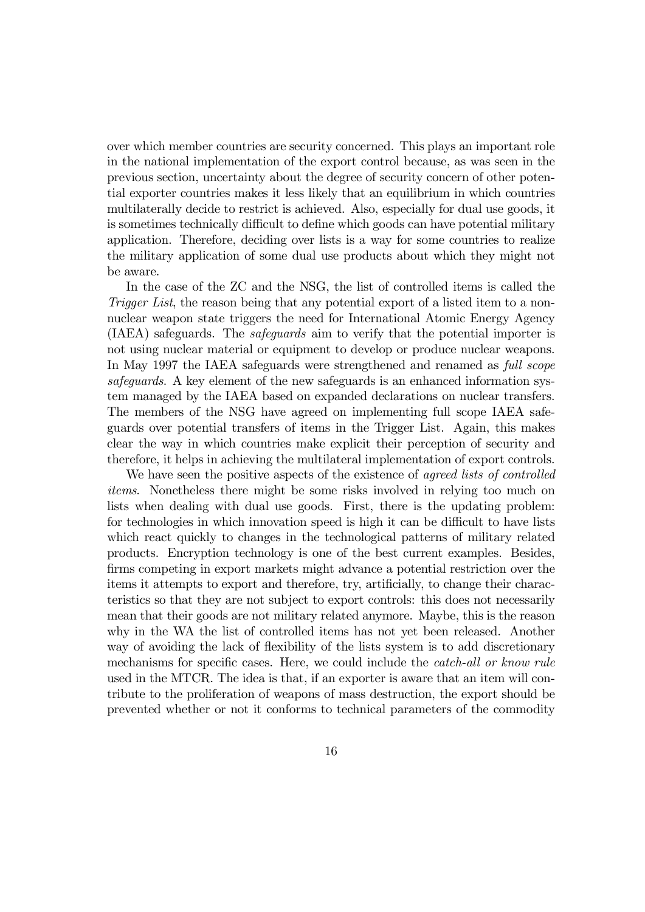over which member countries are security concerned. This plays an important role in the national implementation of the export control because, as was seen in the previous section, uncertainty about the degree of security concern of other potential exporter countries makes it less likely that an equilibrium in which countries multilaterally decide to restrict is achieved. Also, especially for dual use goods, it is sometimes technically difficult to define which goods can have potential military application. Therefore, deciding over lists is a way for some countries to realize the military application of some dual use products about which they might not be aware.

In the case of the ZC and the NSG, the list of controlled items is called the Trigger List, the reason being that any potential export of a listed item to a nonnuclear weapon state triggers the need for International Atomic Energy Agency (IAEA) safeguards. The safeguards aim to verify that the potential importer is not using nuclear material or equipment to develop or produce nuclear weapons. In May 1997 the IAEA safeguards were strengthened and renamed as full scope safeguards. A key element of the new safeguards is an enhanced information system managed by the IAEA based on expanded declarations on nuclear transfers. The members of the NSG have agreed on implementing full scope IAEA safeguards over potential transfers of items in the Trigger List. Again, this makes clear the way in which countries make explicit their perception of security and therefore, it helps in achieving the multilateral implementation of export controls.

We have seen the positive aspects of the existence of *agreed lists of controlled* items. Nonetheless there might be some risks involved in relying too much on lists when dealing with dual use goods. First, there is the updating problem: for technologies in which innovation speed is high it can be difficult to have lists which react quickly to changes in the technological patterns of military related products. Encryption technology is one of the best current examples. Besides, firms competing in export markets might advance a potential restriction over the items it attempts to export and therefore, try, artificially, to change their characteristics so that they are not subject to export controls: this does not necessarily mean that their goods are not military related anymore. Maybe, this is the reason why in the WA the list of controlled items has not yet been released. Another way of avoiding the lack of flexibility of the lists system is to add discretionary mechanisms for specific cases. Here, we could include the *catch-all or know rule* used in the MTCR. The idea is that, if an exporter is aware that an item will contribute to the proliferation of weapons of mass destruction, the export should be prevented whether or not it conforms to technical parameters of the commodity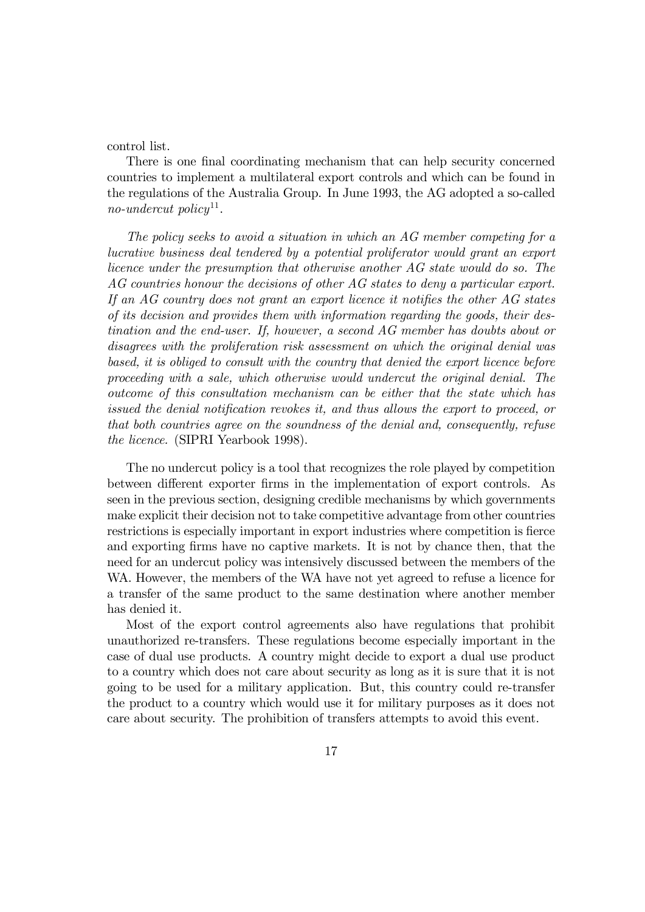control list.

There is one final coordinating mechanism that can help security concerned countries to implement a multilateral export controls and which can be found in the regulations of the Australia Group. In June 1993, the AG adopted a so-called  $no$ -undercut policy<sup>11</sup>.

The policy seeks to avoid a situation in which an AG member competing for a lucrative business deal tendered by a potential proliferator would grant an export licence under the presumption that otherwise another AG state would do so. The AG countries honour the decisions of other AG states to deny a particular export. If an AG country does not grant an export licence it notifies the other  $AG$  states of its decision and provides them with information regarding the goods, their destination and the end-user. If, however, a second AG member has doubts about or disagrees with the proliferation risk assessment on which the original denial was based, it is obliged to consult with the country that denied the export licence before proceeding with a sale, which otherwise would undercut the original denial. The outcome of this consultation mechanism can be either that the state which has issued the denial notification revokes it, and thus allows the export to proceed, or that both countries agree on the soundness of the denial and, consequently, refuse the licence. (SIPRI Yearbook 1998).

The no undercut policy is a tool that recognizes the role played by competition between different exporter firms in the implementation of export controls. As seen in the previous section, designing credible mechanisms by which governments make explicit their decision not to take competitive advantage from other countries restrictions is especially important in export industries where competition is fierce and exporting firms have no captive markets. It is not by chance then, that the need for an undercut policy was intensively discussed between the members of the WA. However, the members of the WA have not yet agreed to refuse a licence for a transfer of the same product to the same destination where another member has denied it.

Most of the export control agreements also have regulations that prohibit unauthorized re-transfers. These regulations become especially important in the case of dual use products. A country might decide to export a dual use product to a country which does not care about security as long as it is sure that it is not going to be used for a military application. But, this country could re-transfer the product to a country which would use it for military purposes as it does not care about security. The prohibition of transfers attempts to avoid this event.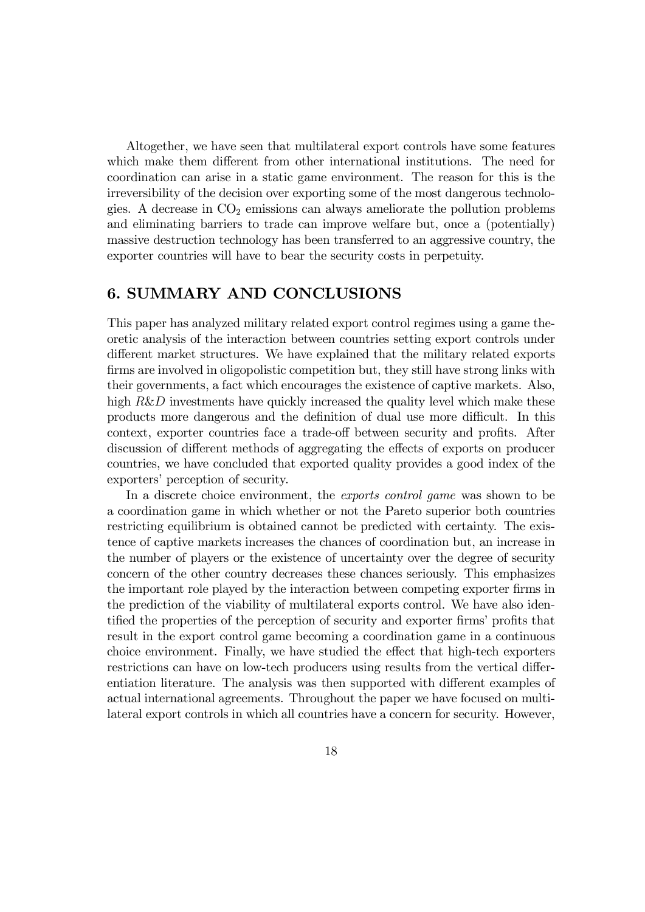Altogether, we have seen that multilateral export controls have some features which make them different from other international institutions. The need for coordination can arise in a static game environment. The reason for this is the irreversibility of the decision over exporting some of the most dangerous technologies. A decrease in  $CO<sub>2</sub>$  emissions can always ameliorate the pollution problems and eliminating barriers to trade can improve welfare but, once a (potentially) massive destruction technology has been transferred to an aggressive country, the exporter countries will have to bear the security costs in perpetuity.

#### 6. SUMMARY AND CONCLUSIONS

This paper has analyzed military related export control regimes using a game theoretic analysis of the interaction between countries setting export controls under different market structures. We have explained that the military related exports firms are involved in oligopolistic competition but, they still have strong links with their governments, a fact which encourages the existence of captive markets. Also, high  $R\&D$  investments have quickly increased the quality level which make these products more dangerous and the definition of dual use more difficult. In this context, exporter countries face a trade-off between security and profits. After discussion of different methods of aggregating the effects of exports on producer countries, we have concluded that exported quality provides a good index of the exporters' perception of security.

In a discrete choice environment, the *exports control game* was shown to be a coordination game in which whether or not the Pareto superior both countries restricting equilibrium is obtained cannot be predicted with certainty. The existence of captive markets increases the chances of coordination but, an increase in the number of players or the existence of uncertainty over the degree of security concern of the other country decreases these chances seriously. This emphasizes the important role played by the interaction between competing exporter firms in the prediction of the viability of multilateral exports control. We have also identified the properties of the perception of security and exporter firms' profits that result in the export control game becoming a coordination game in a continuous choice environment. Finally, we have studied the effect that high-tech exporters restrictions can have on low-tech producers using results from the vertical differentiation literature. The analysis was then supported with different examples of actual international agreements. Throughout the paper we have focused on multilateral export controls in which all countries have a concern for security. However,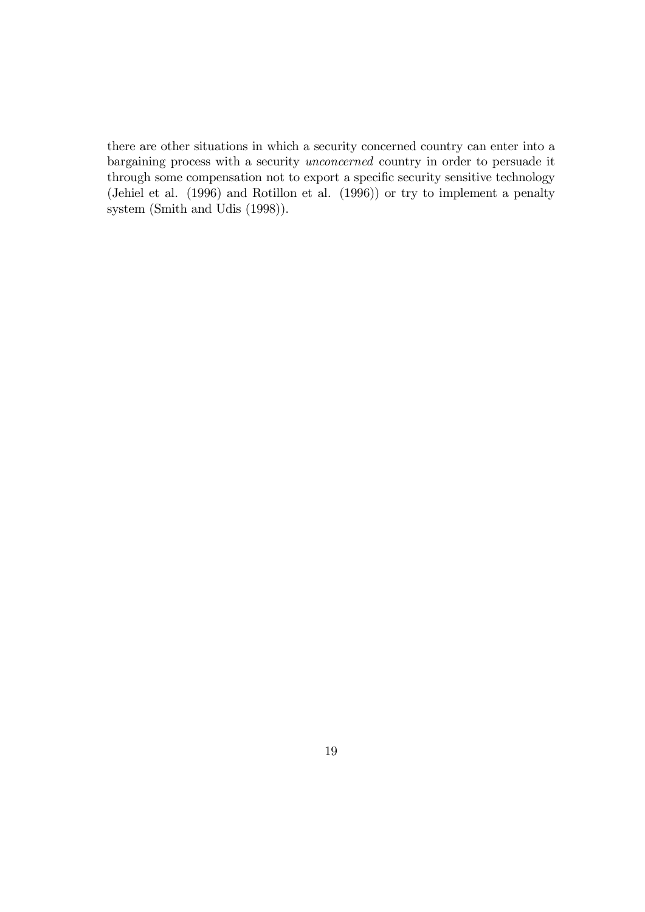there are other situations in which a security concerned country can enter into a bargaining process with a security unconcerned country in order to persuade it through some compensation not to export a specific security sensitive technology (Jehiel et al. (1996) and Rotillon et al. (1996)) or try to implement a penalty system (Smith and Udis (1998)).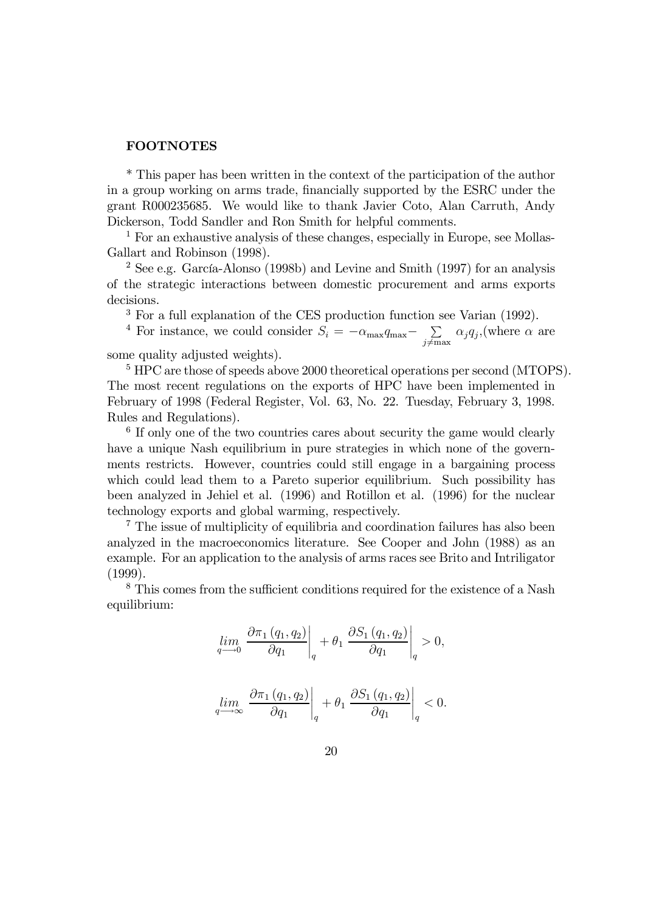#### FOOTNOTES

\* This paper has been written in the context of the participation of the author in a group working on arms trade, financially supported by the ESRC under the grant R000235685. We would like to thank Javier Coto, Alan Carruth, Andy Dickerson, Todd Sandler and Ron Smith for helpful comments.

<sup>1</sup> For an exhaustive analysis of these changes, especially in Europe, see Mollas-Gallart and Robinson (1998).

<sup>2</sup> See e.g. García-Alonso (1998b) and Levine and Smith (1997) for an analysis of the strategic interactions between domestic procurement and arms exports decisions.

<sup>3</sup> For a full explanation of the CES production function see Varian (1992).

<sup>4</sup> For instance, we could consider  $S_i = -\alpha_{\text{max}}q_{\text{max}} - \sum_{i \neq m}$  $j \neq max$  $\alpha_j q_j$ , (where  $\alpha$  are

some quality adjusted weights).

<sup>5</sup> HPC are those of speeds above 2000 theoretical operations per second (MTOPS). The most recent regulations on the exports of HPC have been implemented in February of 1998 (Federal Register, Vol. 63, No. 22. Tuesday, February 3, 1998. Rules and Regulations).

<sup>6</sup> If only one of the two countries cares about security the game would clearly have a unique Nash equilibrium in pure strategies in which none of the governments restricts. However, countries could still engage in a bargaining process which could lead them to a Pareto superior equilibrium. Such possibility has been analyzed in Jehiel et al. (1996) and Rotillon et al. (1996) for the nuclear technology exports and global warming, respectively.

<sup>7</sup> The issue of multiplicity of equilibria and coordination failures has also been analyzed in the macroeconomics literature. See Cooper and John (1988) as an example. For an application to the analysis of arms races see Brito and Intriligator (1999).

<sup>8</sup> This comes from the sufficient conditions required for the existence of a Nash equilibrium:

$$
\lim_{q \to 0} \left. \frac{\partial \pi_1(q_1, q_2)}{\partial q_1} \right|_q + \theta_1 \left. \frac{\partial S_1(q_1, q_2)}{\partial q_1} \right|_q > 0,
$$

$$
\lim_{q \to \infty} \left. \frac{\partial \pi_1(q_1, q_2)}{\partial q_1} \right|_q + \theta_1 \left. \frac{\partial S_1(q_1, q_2)}{\partial q_1} \right|_q < 0.
$$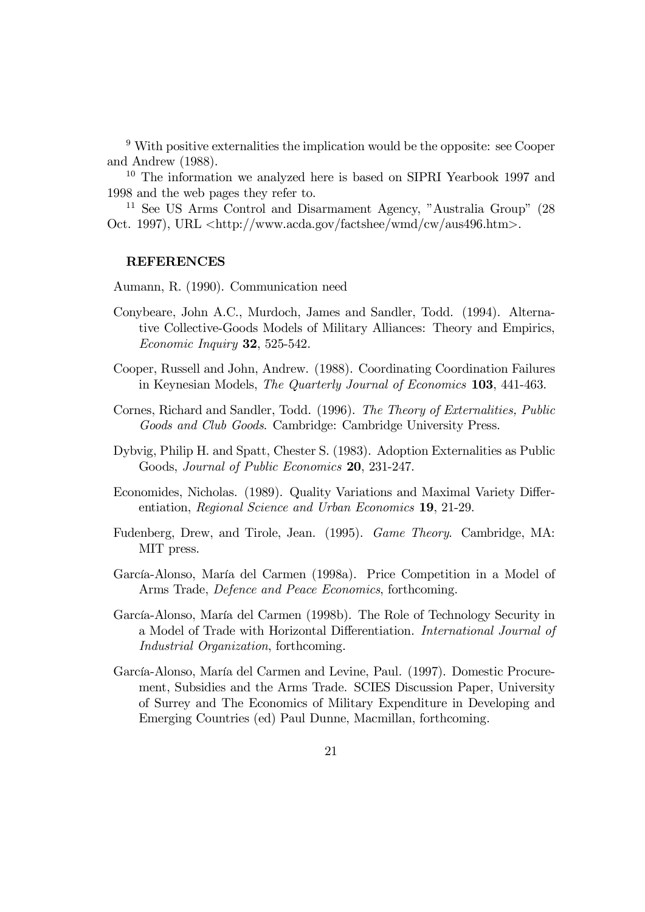<sup>9</sup> With positive externalities the implication would be the opposite: see Cooper and Andrew (1988).

<sup>10</sup> The information we analyzed here is based on SIPRI Yearbook 1997 and 1998 and the web pages they refer to.

<sup>11</sup> See US Arms Control and Disarmament Agency, "Australia Group" (28 Oct. 1997), URL  $\langle \text{http://www.acda.gov/factshee/wmd/cw/aus496.htm}\rangle$ .

#### REFERENCES

Aumann, R. (1990). Communication need

- Conybeare, John A.C., Murdoch, James and Sandler, Todd. (1994). Alternative Collective-Goods Models of Military Alliances: Theory and Empirics, Economic Inquiry 32, 525-542.
- Cooper, Russell and John, Andrew. (1988). Coordinating Coordination Failures in Keynesian Models, The Quarterly Journal of Economics 103, 441-463.
- Cornes, Richard and Sandler, Todd. (1996). The Theory of Externalities, Public Goods and Club Goods. Cambridge: Cambridge University Press.
- Dybvig, Philip H. and Spatt, Chester S. (1983). Adoption Externalities as Public Goods, Journal of Public Economics 20, 231-247.
- Economides, Nicholas. (1989). Quality Variations and Maximal Variety Differentiation, Regional Science and Urban Economics 19, 21-29.
- Fudenberg, Drew, and Tirole, Jean. (1995). Game Theory. Cambridge, MA: MIT press.
- García-Alonso, María del Carmen (1998a). Price Competition in a Model of Arms Trade, Defence and Peace Economics, forthcoming.
- García-Alonso, María del Carmen (1998b). The Role of Technology Security in a Model of Trade with Horizontal Differentiation. International Journal of Industrial Organization, forthcoming.
- García-Alonso, María del Carmen and Levine, Paul. (1997). Domestic Procurement, Subsidies and the Arms Trade. SCIES Discussion Paper, University of Surrey and The Economics of Military Expenditure in Developing and Emerging Countries (ed) Paul Dunne, Macmillan, forthcoming.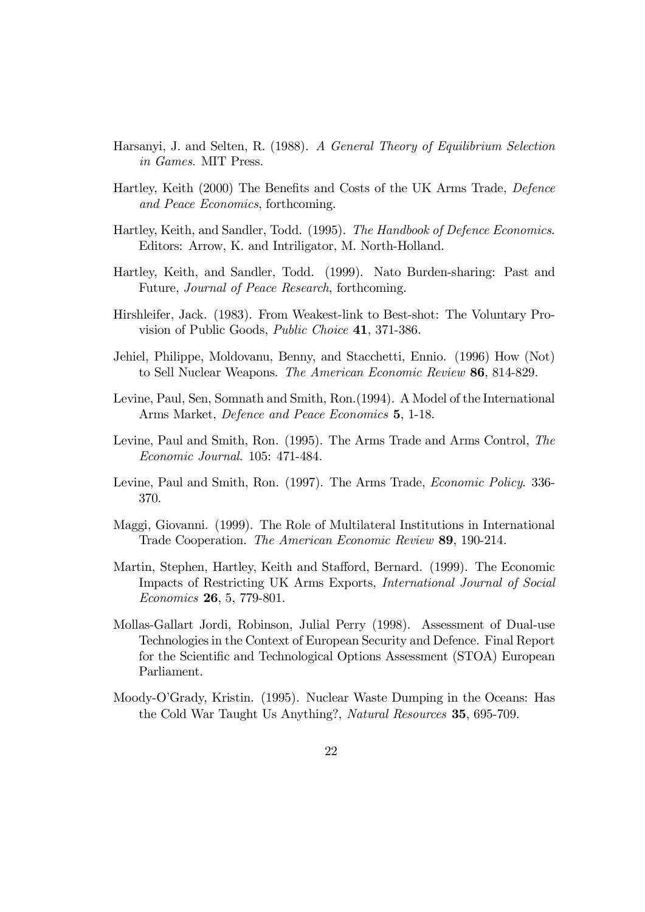- Harsanyi, J. and Selten, R. (1988). A General Theory of Equilibrium Selection in Games. MIT Press.
- Hartley, Keith (2000) The Benefits and Costs of the UK Arms Trade, Defence and Peace Economics, forthcoming.
- Hartley, Keith, and Sandler, Todd. (1995). The Handbook of Defence Economics. Editors: Arrow, K. and Intriligator, M. North-Holland.
- Hartley, Keith, and Sandler, Todd. (1999). Nato Burden-sharing: Past and Future, Journal of Peace Research, forthcoming.
- Hirshleifer, Jack. (1983). From Weakest-link to Best-shot: The Voluntary Provision of Public Goods, Public Choice 41, 371-386.
- Jehiel, Philippe, Moldovanu, Benny, and Stacchetti, Ennio. (1996) How (Not) to Sell Nuclear Weapons. The American Economic Review 86, 814-829.
- Levine, Paul, Sen, Somnath and Smith, Ron.(1994). A Model of the International Arms Market, Defence and Peace Economics 5, 1-18.
- Levine, Paul and Smith, Ron. (1995). The Arms Trade and Arms Control, The Economic Journal. 105: 471-484.
- Levine, Paul and Smith, Ron. (1997). The Arms Trade, Economic Policy. 336- 370.
- Maggi, Giovanni. (1999). The Role of Multilateral Institutions in International Trade Cooperation. The American Economic Review 89, 190-214.
- Martin, Stephen, Hartley, Keith and Stafford, Bernard. (1999). The Economic Impacts of Restricting UK Arms Exports, International Journal of Social Economics 26, 5, 779-801.
- Mollas-Gallart Jordi, Robinson, Julial Perry (1998). Assessment of Dual-use Technologies in the Context of European Security and Defence. Final Report for the Scientific and Technological Options Assessment (STOA) European Parliament.
- Moody-O'Grady, Kristin. (1995). Nuclear Waste Dumping in the Oceans: Has the Cold War Taught Us Anything?, Natural Resources 35, 695-709.